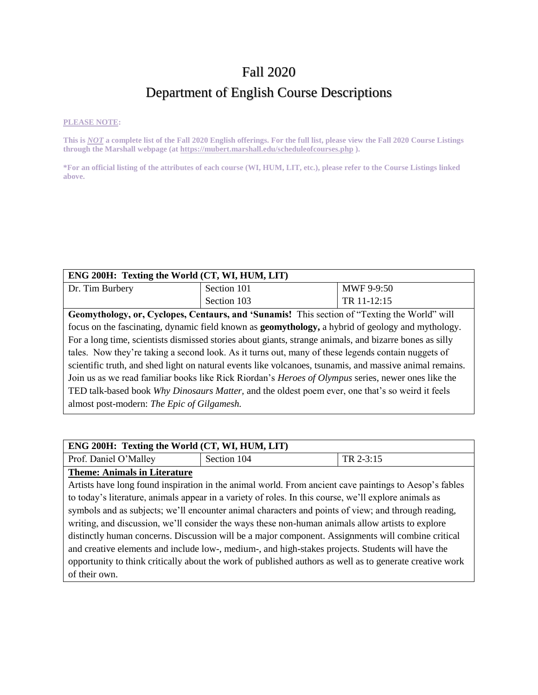## Fall 2020

# Department of English Course Descriptions

#### **PLEASE NOTE:**

**This is** *NOT* **a complete list of the Fall 2020 English offerings. For the full list, please view the Fall 2020 Course Listings through the Marshall webpage (at https://mubert.marshall.edu/scheduleofcourses.php ).**

**\*For an official listing of the attributes of each course (WI, HUM, LIT, etc.), please refer to the Course Listings linked above.**

| ENG 200H: Texting the World (CT, WI, HUM, LIT)                                                             |                                                                                                           |             |
|------------------------------------------------------------------------------------------------------------|-----------------------------------------------------------------------------------------------------------|-------------|
| Dr. Tim Burbery                                                                                            | Section 101                                                                                               | MWF 9-9:50  |
|                                                                                                            | Section 103                                                                                               | TR 11-12:15 |
|                                                                                                            | Geomythology, or, Cyclopes, Centaurs, and 'Sunamis! This section of "Texting the World" will              |             |
|                                                                                                            | focus on the fascinating, dynamic field known as <b>geomythology</b> , a hybrid of geology and mythology. |             |
| For a long time, scientists dismissed stories about giants, strange animals, and bizarre bones as silly    |                                                                                                           |             |
| tales. Now they're taking a second look. As it turns out, many of these legends contain nuggets of         |                                                                                                           |             |
| scientific truth, and shed light on natural events like volcanoes, tsunamis, and massive animal remains.   |                                                                                                           |             |
| Join us as we read familiar books like Rick Riordan's <i>Heroes of Olympus</i> series, newer ones like the |                                                                                                           |             |
| TED talk-based book Why Dinosaurs Matter, and the oldest poem ever, one that's so weird it feels           |                                                                                                           |             |
| almost post-modern: The Epic of Gilgamesh.                                                                 |                                                                                                           |             |

| ENG 200H: Texting the World (CT, WI, HUM, LIT)                                                      |                                                                                                          |           |
|-----------------------------------------------------------------------------------------------------|----------------------------------------------------------------------------------------------------------|-----------|
| Prof. Daniel O'Malley                                                                               | Section 104                                                                                              | TR 2-3:15 |
| <b>Theme: Animals in Literature</b>                                                                 |                                                                                                          |           |
|                                                                                                     | Artists have long found inspiration in the animal world. From ancient cave paintings to Aesop's fables   |           |
|                                                                                                     | to today's literature, animals appear in a variety of roles. In this course, we'll explore animals as    |           |
| symbols and as subjects; we'll encounter animal characters and points of view; and through reading, |                                                                                                          |           |
|                                                                                                     | writing, and discussion, we'll consider the ways these non-human animals allow artists to explore        |           |
|                                                                                                     | distinctly human concerns. Discussion will be a major component. Assignments will combine critical       |           |
|                                                                                                     | and creative elements and include low-, medium-, and high-stakes projects. Students will have the        |           |
|                                                                                                     | opportunity to think critically about the work of published authors as well as to generate creative work |           |
| of their own.                                                                                       |                                                                                                          |           |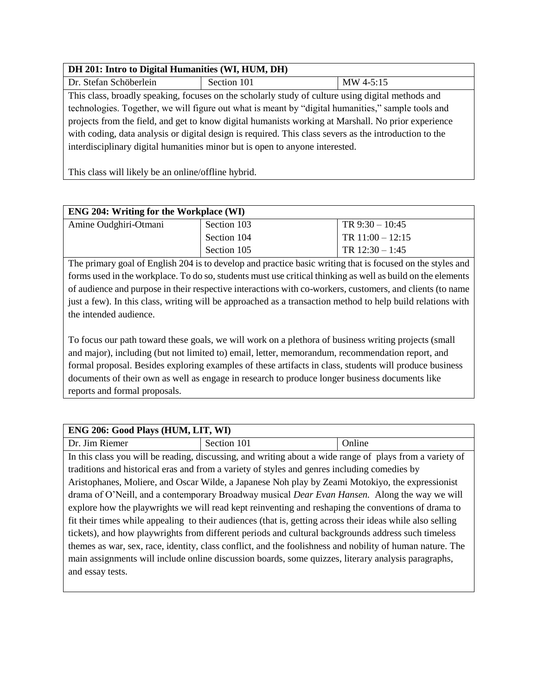### **DH 201: Intro to Digital Humanities (WI, HUM, DH)**

| Dr. Stefan Schöberlein                                                                                 | Section 101                                                                                       | MW 4-5:15 |
|--------------------------------------------------------------------------------------------------------|---------------------------------------------------------------------------------------------------|-----------|
|                                                                                                        | This class, broadly speaking, focuses on the scholarly study of culture using digital methods and |           |
| technologies. Together, we will figure out what is meant by "digital humanities," sample tools and     |                                                                                                   |           |
| projects from the field, and get to know digital humanists working at Marshall. No prior experience    |                                                                                                   |           |
| with coding, data analysis or digital design is required. This class severs as the introduction to the |                                                                                                   |           |
|                                                                                                        | interdisciplinary digital humanities minor but is open to anyone interested.                      |           |
|                                                                                                        |                                                                                                   |           |

This class will likely be an online/offline hybrid.

| <b>ENG 204: Writing for the Workplace (WI)</b> |             |                    |
|------------------------------------------------|-------------|--------------------|
| Amine Oudghiri-Otmani                          | Section 103 | TR $9:30 - 10:45$  |
|                                                | Section 104 | TR $11:00 - 12:15$ |
|                                                | Section 105 | TR $12:30 - 1:45$  |

The primary goal of English 204 is to develop and practice basic writing that is focused on the styles and forms used in the workplace. To do so, students must use critical thinking as well as build on the elements of audience and purpose in their respective interactions with co-workers, customers, and clients (to name just a few). In this class, writing will be approached as a transaction method to help build relations with the intended audience.

To focus our path toward these goals, we will work on a plethora of business writing projects (small and major), including (but not limited to) email, letter, memorandum, recommendation report, and formal proposal. Besides exploring examples of these artifacts in class, students will produce business documents of their own as well as engage in research to produce longer business documents like reports and formal proposals.

| ENG 206: Good Plays (HUM, LIT, WI)                                                                         |                                                                                                          |        |
|------------------------------------------------------------------------------------------------------------|----------------------------------------------------------------------------------------------------------|--------|
| Dr. Jim Riemer                                                                                             | Section 101                                                                                              | Online |
|                                                                                                            | In this class you will be reading, discussing, and writing about a wide range of plays from a variety of |        |
|                                                                                                            | traditions and historical eras and from a variety of styles and genres including comedies by             |        |
|                                                                                                            | Aristophanes, Moliere, and Oscar Wilde, a Japanese Noh play by Zeami Motokiyo, the expressionist         |        |
|                                                                                                            | drama of O'Neill, and a contemporary Broadway musical <i>Dear Evan Hansen</i> . Along the way we will    |        |
| explore how the playwrights we will read kept reinventing and reshaping the conventions of drama to        |                                                                                                          |        |
| fit their times while appealing to their audiences (that is, getting across their ideas while also selling |                                                                                                          |        |
| tickets), and how playwrights from different periods and cultural backgrounds address such timeless        |                                                                                                          |        |
| themes as war, sex, race, identity, class conflict, and the foolishness and nobility of human nature. The  |                                                                                                          |        |
| main assignments will include online discussion boards, some quizzes, literary analysis paragraphs,        |                                                                                                          |        |
| and essay tests.                                                                                           |                                                                                                          |        |
|                                                                                                            |                                                                                                          |        |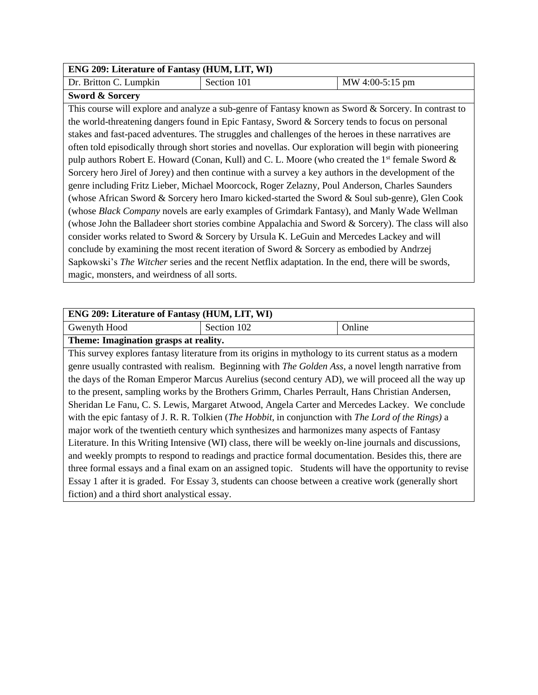| <b>ENG 209: Literature of Fantasy (HUM, LIT, WI)</b> |             |                 |
|------------------------------------------------------|-------------|-----------------|
| Dr. Britton C. Lumpkin                               | Section 101 | MW 4:00-5:15 pm |

This course will explore and analyze a sub-genre of Fantasy known as Sword & Sorcery. In contrast to the world-threatening dangers found in Epic Fantasy, Sword & Sorcery tends to focus on personal stakes and fast-paced adventures. The struggles and challenges of the heroes in these narratives are often told episodically through short stories and novellas. Our exploration will begin with pioneering pulp authors Robert E. Howard (Conan, Kull) and C. L. Moore (who created the  $1<sup>st</sup>$  female Sword  $\&$ Sorcery hero Jirel of Jorey) and then continue with a survey a key authors in the development of the genre including Fritz Lieber, Michael Moorcock, Roger Zelazny, Poul Anderson, Charles Saunders (whose African Sword & Sorcery hero Imaro kicked-started the Sword & Soul sub-genre), Glen Cook (whose *Black Company* novels are early examples of Grimdark Fantasy), and Manly Wade Wellman (whose John the Balladeer short stories combine Appalachia and Sword & Sorcery). The class will also consider works related to Sword & Sorcery by Ursula K. LeGuin and Mercedes Lackey and will conclude by examining the most recent iteration of Sword & Sorcery as embodied by Andrzej Sapkowski's *The Witcher* series and the recent Netflix adaptation. In the end, there will be swords, magic, monsters, and weirdness of all sorts.

| ENG 209: Literature of Fantasy (HUM, LIT, WI)                                                                        |             |                                                                                                         |
|----------------------------------------------------------------------------------------------------------------------|-------------|---------------------------------------------------------------------------------------------------------|
| Gwenyth Hood                                                                                                         | Section 102 | Online                                                                                                  |
| Theme: Imagination grasps at reality.                                                                                |             |                                                                                                         |
| This survey explores fantasy literature from its origins in mythology to its current status as a modern              |             |                                                                                                         |
| genre usually contrasted with realism. Beginning with The Golden Ass, a novel length narrative from                  |             |                                                                                                         |
|                                                                                                                      |             | the days of the Roman Emperor Marcus Aurelius (second century AD), we will proceed all the way up       |
| to the present, sampling works by the Brothers Grimm, Charles Perrault, Hans Christian Andersen,                     |             |                                                                                                         |
| Sheridan Le Fanu, C. S. Lewis, Margaret Atwood, Angela Carter and Mercedes Lackey. We conclude                       |             |                                                                                                         |
| with the epic fantasy of J. R. R. Tolkien ( <i>The Hobbit</i> , in conjunction with <i>The Lord of the Rings</i> ) a |             |                                                                                                         |
| major work of the twentieth century which synthesizes and harmonizes many aspects of Fantasy                         |             |                                                                                                         |
| Literature. In this Writing Intensive (WI) class, there will be weekly on-line journals and discussions,             |             |                                                                                                         |
| and weekly prompts to respond to readings and practice formal documentation. Besides this, there are                 |             |                                                                                                         |
|                                                                                                                      |             | three formal essays and a final exam on an assigned topic. Students will have the opportunity to revise |
| Essay 1 after it is graded. For Essay 3, students can choose between a creative work (generally short                |             |                                                                                                         |
| fiction) and a third short analystical essay.                                                                        |             |                                                                                                         |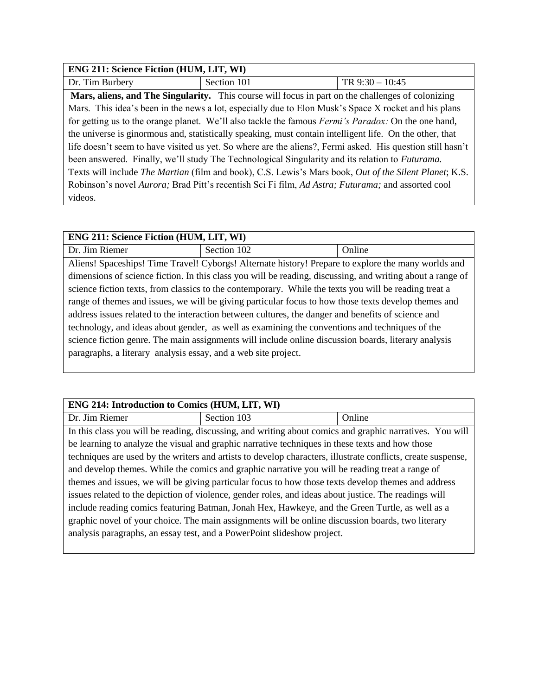| <b>ENG 211: Science Fiction (HUM, LIT, WI)</b>                                                             |                                                                                                            |                   |
|------------------------------------------------------------------------------------------------------------|------------------------------------------------------------------------------------------------------------|-------------------|
| Dr. Tim Burbery                                                                                            | Section 101                                                                                                | TR $9:30 - 10:45$ |
|                                                                                                            | Mars, aliens, and The Singularity. This course will focus in part on the challenges of colonizing          |                   |
|                                                                                                            | Mars. This idea's been in the news a lot, especially due to Elon Musk's Space X rocket and his plans       |                   |
|                                                                                                            | for getting us to the orange planet. We'll also tackle the famous <i>Fermi's Paradox:</i> On the one hand, |                   |
| the universe is ginormous and, statistically speaking, must contain intelligent life. On the other, that   |                                                                                                            |                   |
| life doesn't seem to have visited us yet. So where are the aliens?, Fermi asked. His question still hasn't |                                                                                                            |                   |
| been answered. Finally, we'll study The Technological Singularity and its relation to Futurama.            |                                                                                                            |                   |
| Texts will include The Martian (film and book), C.S. Lewis's Mars book, Out of the Silent Planet; K.S.     |                                                                                                            |                   |
|                                                                                                            | Robinson's novel Aurora; Brad Pitt's recentish Sci Fi film, Ad Astra; Futurama; and assorted cool          |                   |
| videos.                                                                                                    |                                                                                                            |                   |

## **ENG 211: Science Fiction (HUM, LIT, WI)**  Dr. Jim Riemer Section 102 | Online Aliens! Spaceships! Time Travel! Cyborgs! Alternate history! Prepare to explore the many worlds and dimensions of science fiction. In this class you will be reading, discussing, and writing about a range of science fiction texts, from classics to the contemporary. While the texts you will be reading treat a range of themes and issues, we will be giving particular focus to how those texts develop themes and address issues related to the interaction between cultures, the danger and benefits of science and technology, and ideas about gender, as well as examining the conventions and techniques of the science fiction genre. The main assignments will include online discussion boards, literary analysis paragraphs, a literary analysis essay, and a web site project.

### **ENG 214: Introduction to Comics (HUM, LIT, WI)**

| ETTO 214. INII 000000001 to Connes (HOIN, EIT, WI)                                                    |                                                                                                              |        |
|-------------------------------------------------------------------------------------------------------|--------------------------------------------------------------------------------------------------------------|--------|
| Dr. Jim Riemer                                                                                        | Section 103                                                                                                  | Online |
|                                                                                                       | In this class you will be reading, discussing, and writing about comics and graphic narratives. You will     |        |
|                                                                                                       | be learning to analyze the visual and graphic narrative techniques in these texts and how those              |        |
|                                                                                                       | techniques are used by the writers and artists to develop characters, illustrate conflicts, create suspense, |        |
| and develop themes. While the comics and graphic narrative you will be reading treat a range of       |                                                                                                              |        |
| themes and issues, we will be giving particular focus to how those texts develop themes and address   |                                                                                                              |        |
| issues related to the depiction of violence, gender roles, and ideas about justice. The readings will |                                                                                                              |        |
|                                                                                                       | include reading comics featuring Batman, Jonah Hex, Hawkeye, and the Green Turtle, as well as a              |        |
|                                                                                                       | graphic novel of your choice. The main assignments will be online discussion boards, two literary            |        |
| analysis paragraphs, an essay test, and a PowerPoint slideshow project.                               |                                                                                                              |        |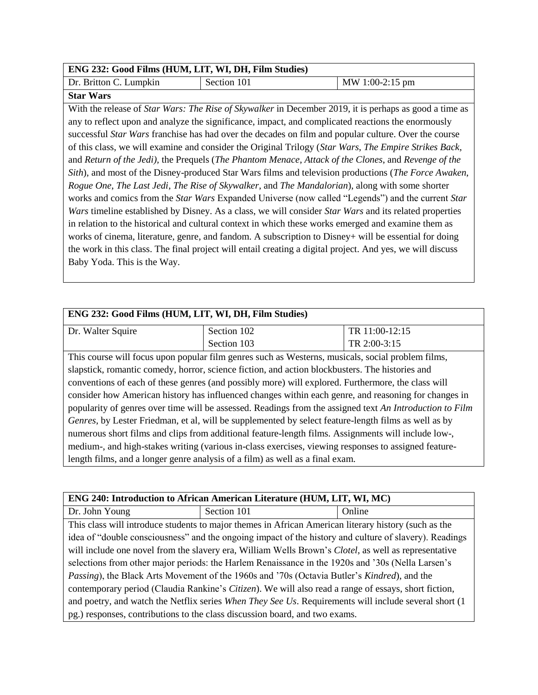#### **ENG 232: Good Films (HUM, LIT, WI, DH, Film Studies)**

| Dr. Britton C. Lumpkin | Section 101 | MW 1:00-2:15 pm |
|------------------------|-------------|-----------------|
| <b>Star Wars</b>       |             |                 |

With the release of *Star Wars: The Rise of Skywalker* in December 2019, it is perhaps as good a time as any to reflect upon and analyze the significance, impact, and complicated reactions the enormously successful *Star Wars* franchise has had over the decades on film and popular culture. Over the course of this class, we will examine and consider the Original Trilogy (*Star Wars*, *The Empire Strikes Back*, and *Return of the Jedi),* the Prequels (*The Phantom Menace*, *Attack of the Clones*, and *Revenge of the Sith*), and most of the Disney-produced Star Wars films and television productions (*The Force Awaken*, *Rogue One*, *The Last Jedi*, *The Rise of Skywalker*, and *The Mandalorian*), along with some shorter works and comics from the *Star Wars* Expanded Universe (now called "Legends") and the current *Star Wars* timeline established by Disney. As a class, we will consider *Star Wars* and its related properties in relation to the historical and cultural context in which these works emerged and examine them as works of cinema, literature, genre, and fandom. A subscription to Disney+ will be essential for doing the work in this class. The final project will entail creating a digital project. And yes, we will discuss Baby Yoda. This is the Way.

| ENG 232: Good Films (HUM, LIT, WI, DH, Film Studies)                                                     |                                                                                                   |                |
|----------------------------------------------------------------------------------------------------------|---------------------------------------------------------------------------------------------------|----------------|
| Dr. Walter Squire                                                                                        | Section 102                                                                                       | TR 11:00-12:15 |
|                                                                                                          | Section 103                                                                                       | TR 2:00-3:15   |
|                                                                                                          | This course will focus upon popular film genres such as Westerns, musicals, social problem films, |                |
|                                                                                                          | slapstick, romantic comedy, horror, science fiction, and action blockbusters. The histories and   |                |
| conventions of each of these genres (and possibly more) will explored. Furthermore, the class will       |                                                                                                   |                |
| consider how American history has influenced changes within each genre, and reasoning for changes in     |                                                                                                   |                |
| popularity of genres over time will be assessed. Readings from the assigned text An Introduction to Film |                                                                                                   |                |
| Genres, by Lester Friedman, et al, will be supplemented by select feature-length films as well as by     |                                                                                                   |                |
| numerous short films and clips from additional feature-length films. Assignments will include low-,      |                                                                                                   |                |
| medium-, and high-stakes writing (various in-class exercises, viewing responses to assigned feature-     |                                                                                                   |                |
| length films, and a longer genre analysis of a film) as well as a final exam.                            |                                                                                                   |                |

| ENG 240: Introduction to African American Literature (HUM, LIT, WI, MC)                                      |                                                                                                        |        |
|--------------------------------------------------------------------------------------------------------------|--------------------------------------------------------------------------------------------------------|--------|
| Dr. John Young                                                                                               | Section 101                                                                                            | Online |
|                                                                                                              | This class will introduce students to major themes in African American literary history (such as the   |        |
|                                                                                                              | idea of "double consciousness" and the ongoing impact of the history and culture of slavery). Readings |        |
| will include one novel from the slavery era, William Wells Brown's Clotel, as well as representative         |                                                                                                        |        |
| selections from other major periods: the Harlem Renaissance in the 1920s and '30s (Nella Larsen's            |                                                                                                        |        |
| <i>Passing</i> ), the Black Arts Movement of the 1960s and '70s (Octavia Butler's <i>Kindred</i> ), and the  |                                                                                                        |        |
| contemporary period (Claudia Rankine's <i>Citizen</i> ). We will also read a range of essays, short fiction, |                                                                                                        |        |
| and poetry, and watch the Netflix series When They See Us. Requirements will include several short (1)       |                                                                                                        |        |
| pg.) responses, contributions to the class discussion board, and two exams.                                  |                                                                                                        |        |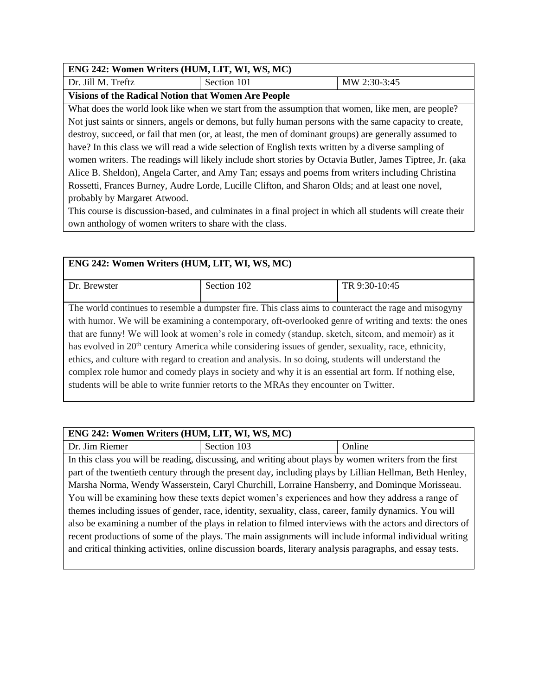### **ENG 242: Women Writers (HUM, LIT, WI, WS, MC)**

## Dr. Jill M. Treftz  $\vert$  Section 101  $\vert$  MW 2:30-3:45

**Visions of the Radical Notion that Women Are People**

What does the world look like when we start from the assumption that women, like men, are people? Not just saints or sinners, angels or demons, but fully human persons with the same capacity to create, destroy, succeed, or fail that men (or, at least, the men of dominant groups) are generally assumed to have? In this class we will read a wide selection of English texts written by a diverse sampling of women writers. The readings will likely include short stories by Octavia Butler, James Tiptree, Jr. (aka Alice B. Sheldon), Angela Carter, and Amy Tan; essays and poems from writers including Christina Rossetti, Frances Burney, Audre Lorde, Lucille Clifton, and Sharon Olds; and at least one novel, probably by Margaret Atwood.

This course is discussion-based, and culminates in a final project in which all students will create their own anthology of women writers to share with the class.

| ENG 242: Women Writers (HUM, LIT, WI, WS, MC) |                                                                                                                                                                                                                                                                                                                                                                                                                                                                                                                                                                                                                                                                                                                                               |               |  |
|-----------------------------------------------|-----------------------------------------------------------------------------------------------------------------------------------------------------------------------------------------------------------------------------------------------------------------------------------------------------------------------------------------------------------------------------------------------------------------------------------------------------------------------------------------------------------------------------------------------------------------------------------------------------------------------------------------------------------------------------------------------------------------------------------------------|---------------|--|
| Dr. Brewster                                  | Section 102                                                                                                                                                                                                                                                                                                                                                                                                                                                                                                                                                                                                                                                                                                                                   | TR 9:30-10:45 |  |
|                                               | The world continues to resemble a dumpster fire. This class aims to counteract the rage and misogyny<br>with humor. We will be examining a contemporary, oft-overlooked genre of writing and texts: the ones<br>that are funny! We will look at women's role in comedy (standup, sketch, sitcom, and memoir) as it<br>has evolved in 20 <sup>th</sup> century America while considering issues of gender, sexuality, race, ethnicity,<br>ethics, and culture with regard to creation and analysis. In so doing, students will understand the<br>complex role humor and comedy plays in society and why it is an essential art form. If nothing else,<br>students will be able to write funnier retorts to the MRAs they encounter on Twitter. |               |  |
|                                               |                                                                                                                                                                                                                                                                                                                                                                                                                                                                                                                                                                                                                                                                                                                                               |               |  |

### **ENG 242: Women Writers (HUM, LIT, WI, WS, MC)**

Dr. Jim Riemer Section 103 | Online In this class you will be reading, discussing, and writing about plays by women writers from the first part of the twentieth century through the present day, including plays by Lillian Hellman, Beth Henley, Marsha Norma, Wendy Wasserstein, Caryl Churchill, Lorraine Hansberry, and Dominque Morisseau. You will be examining how these texts depict women's experiences and how they address a range of themes including issues of gender, race, identity, sexuality, class, career, family dynamics. You will also be examining a number of the plays in relation to filmed interviews with the actors and directors of recent productions of some of the plays. The main assignments will include informal individual writing and critical thinking activities, online discussion boards, literary analysis paragraphs, and essay tests.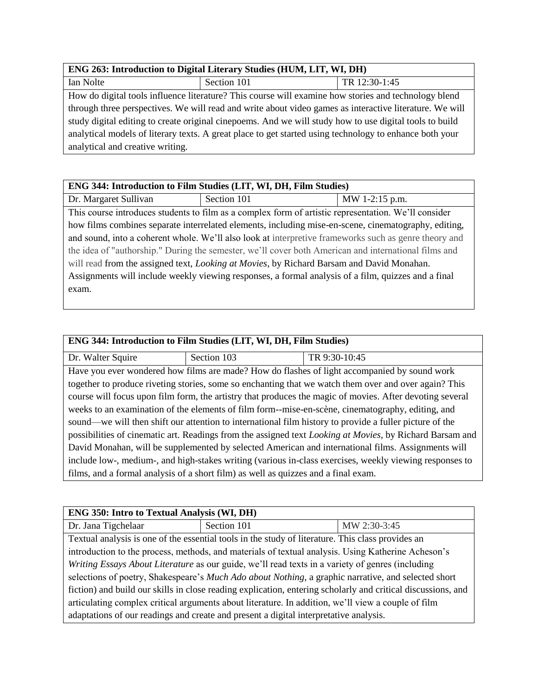### **ENG 263: Introduction to Digital Literary Studies (HUM, LIT, WI, DH)**

| Ian Nolte                                                                                               | Section 101                                                                                          | TR 12:30-1:45 |
|---------------------------------------------------------------------------------------------------------|------------------------------------------------------------------------------------------------------|---------------|
|                                                                                                         | How do digital tools influence literature? This course will examine how stories and technology blend |               |
| through three perspectives. We will read and write about video games as interactive literature. We will |                                                                                                      |               |
| study digital editing to create original cinepoems. And we will study how to use digital tools to build |                                                                                                      |               |
| analytical models of literary texts. A great place to get started using technology to enhance both your |                                                                                                      |               |
| analytical and creative writing.                                                                        |                                                                                                      |               |

### **ENG 344: Introduction to Film Studies (LIT, WI, DH, Film Studies)**  $Dr. Margaret Sullivan$  Section 101 MW 1-2:15 p.m. This course introduces students to film as a complex form of artistic representation. We'll consider how films combines separate interrelated elements, including mise-en-scene, cinematography, editing, and sound, into a coherent whole. We'll also look at interpretive frameworks such as genre theory and the idea of "authorship." During the semester, we'll cover both American and international films and

will read from the assigned text, *Looking at Movies*, by Richard Barsam and David Monahan. Assignments will include weekly viewing responses, a formal analysis of a film, quizzes and a final exam.

| ENG 344: Introduction to Film Studies (LIT, WI, DH, Film Studies)                                                |             |                                                                                                          |  |
|------------------------------------------------------------------------------------------------------------------|-------------|----------------------------------------------------------------------------------------------------------|--|
| Dr. Walter Squire                                                                                                | Section 103 | TR 9:30-10:45                                                                                            |  |
|                                                                                                                  |             | Have you ever wondered how films are made? How do flashes of light accompanied by sound work             |  |
|                                                                                                                  |             | together to produce riveting stories, some so enchanting that we watch them over and over again? This    |  |
|                                                                                                                  |             | course will focus upon film form, the artistry that produces the magic of movies. After devoting several |  |
| weeks to an examination of the elements of film form--mise-en-scène, cinematography, editing, and                |             |                                                                                                          |  |
| sound—we will then shift our attention to international film history to provide a fuller picture of the          |             |                                                                                                          |  |
| possibilities of cinematic art. Readings from the assigned text <i>Looking at Movies</i> , by Richard Barsam and |             |                                                                                                          |  |
| David Monahan, will be supplemented by selected American and international films. Assignments will               |             |                                                                                                          |  |
| include low-, medium-, and high-stakes writing (various in-class exercises, weekly viewing responses to          |             |                                                                                                          |  |
| films, and a formal analysis of a short film) as well as quizzes and a final exam.                               |             |                                                                                                          |  |

| <b>ENG 350: Intro to Textual Analysis (WI, DH)</b>                                                           |                                                                                                    |              |
|--------------------------------------------------------------------------------------------------------------|----------------------------------------------------------------------------------------------------|--------------|
| Dr. Jana Tigchelaar                                                                                          | Section 101                                                                                        | MW 2:30-3:45 |
|                                                                                                              | Textual analysis is one of the essential tools in the study of literature. This class provides an  |              |
|                                                                                                              | introduction to the process, methods, and materials of textual analysis. Using Katherine Acheson's |              |
| Writing Essays About Literature as our guide, we'll read texts in a variety of genres (including             |                                                                                                    |              |
| selections of poetry, Shakespeare's Much Ado about Nothing, a graphic narrative, and selected short          |                                                                                                    |              |
| fiction) and build our skills in close reading explication, entering scholarly and critical discussions, and |                                                                                                    |              |
| articulating complex critical arguments about literature. In addition, we'll view a couple of film           |                                                                                                    |              |
| adaptations of our readings and create and present a digital interpretative analysis.                        |                                                                                                    |              |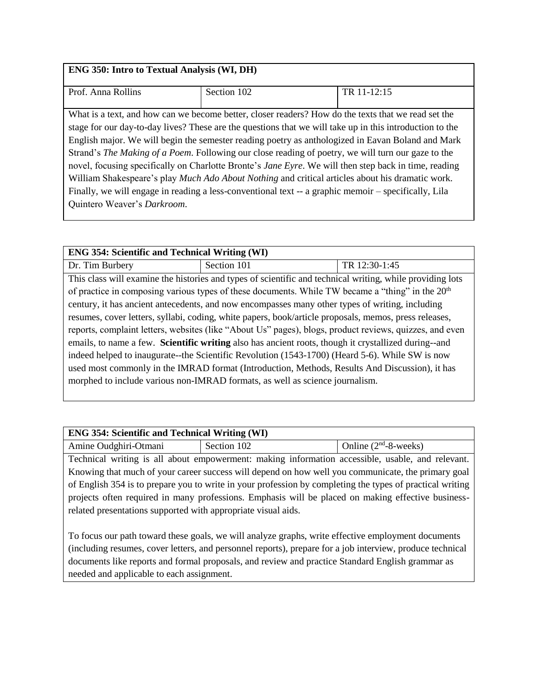### **ENG 350: Intro to Textual Analysis (WI, DH)**

| Prof. Anna Rollins                                                                                            | Section 102                                                                                              | TR 11-12:15 |
|---------------------------------------------------------------------------------------------------------------|----------------------------------------------------------------------------------------------------------|-------------|
|                                                                                                               |                                                                                                          |             |
|                                                                                                               | What is a text, and how can we become better, closer readers? How do the texts that we read set the      |             |
|                                                                                                               | stage for our day-to-day lives? These are the questions that we will take up in this introduction to the |             |
| English major. We will begin the semester reading poetry as anthologized in Eavan Boland and Mark             |                                                                                                          |             |
| Strand's <i>The Making of a Poem</i> . Following our close reading of poetry, we will turn our gaze to the    |                                                                                                          |             |
| novel, focusing specifically on Charlotte Bronte's <i>Jane Eyre</i> . We will then step back in time, reading |                                                                                                          |             |
| William Shakespeare's play Much Ado About Nothing and critical articles about his dramatic work.              |                                                                                                          |             |
| Finally, we will engage in reading a less-conventional text -- a graphic memoir – specifically, Lila          |                                                                                                          |             |
| Quintero Weaver's Darkroom.                                                                                   |                                                                                                          |             |
|                                                                                                               |                                                                                                          |             |

| <b>ENG 354: Scientific and Technical Writing (WI)</b>                                                   |                                                                                                              |               |
|---------------------------------------------------------------------------------------------------------|--------------------------------------------------------------------------------------------------------------|---------------|
| Dr. Tim Burbery                                                                                         | Section 101                                                                                                  | TR 12:30-1:45 |
|                                                                                                         | This class will examine the histories and types of scientific and technical writing, while providing lots    |               |
|                                                                                                         | of practice in composing various types of these documents. While TW became a "thing" in the 20 <sup>th</sup> |               |
|                                                                                                         | century, it has ancient antecedents, and now encompasses many other types of writing, including              |               |
| resumes, cover letters, syllabi, coding, white papers, book/article proposals, memos, press releases,   |                                                                                                              |               |
| reports, complaint letters, websites (like "About Us" pages), blogs, product reviews, quizzes, and even |                                                                                                              |               |
| emails, to name a few. Scientific writing also has ancient roots, though it crystallized during--and    |                                                                                                              |               |
| indeed helped to inaugurate--the Scientific Revolution (1543-1700) (Heard 5-6). While SW is now         |                                                                                                              |               |
| used most commonly in the IMRAD format (Introduction, Methods, Results And Discussion), it has          |                                                                                                              |               |
| morphed to include various non-IMRAD formats, as well as science journalism.                            |                                                                                                              |               |
|                                                                                                         |                                                                                                              |               |

| <b>ENG 354: Scientific and Technical Writing (WI)</b>                                           |             |                         |
|-------------------------------------------------------------------------------------------------|-------------|-------------------------|
| Amine Oudghiri-Otmani                                                                           | Section 102 | Online $(2nd-8$ -weeks) |
| Toohnical writing is all about ampowerment; making information accessible, usable, and relevant |             |                         |

Technical writing is all about empowerment: making information accessible, usable, and relevant. Knowing that much of your career success will depend on how well you communicate, the primary goal of English 354 is to prepare you to write in your profession by completing the types of practical writing projects often required in many professions. Emphasis will be placed on making effective businessrelated presentations supported with appropriate visual aids.

To focus our path toward these goals, we will analyze graphs, write effective employment documents (including resumes, cover letters, and personnel reports), prepare for a job interview, produce technical documents like reports and formal proposals, and review and practice Standard English grammar as needed and applicable to each assignment.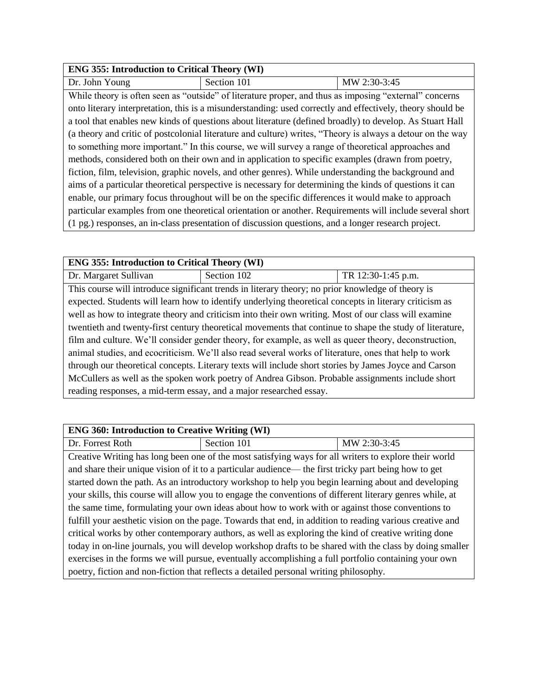| <b>ENG 355: Introduction to Critical Theory (WI)</b> |             |              |
|------------------------------------------------------|-------------|--------------|
| Dr. John Young                                       | Section 101 | MW 2:30-3:45 |

While theory is often seen as "outside" of literature proper, and thus as imposing "external" concerns onto literary interpretation, this is a misunderstanding: used correctly and effectively, theory should be a tool that enables new kinds of questions about literature (defined broadly) to develop. As Stuart Hall (a theory and critic of postcolonial literature and culture) writes, "Theory is always a detour on the way to something more important." In this course, we will survey a range of theoretical approaches and methods, considered both on their own and in application to specific examples (drawn from poetry, fiction, film, television, graphic novels, and other genres). While understanding the background and aims of a particular theoretical perspective is necessary for determining the kinds of questions it can enable, our primary focus throughout will be on the specific differences it would make to approach particular examples from one theoretical orientation or another. Requirements will include several short (1 pg.) responses, an in-class presentation of discussion questions, and a longer research project.

| <b>ENG 355: Introduction to Critical Theory (WI)</b>                                                     |                                                                                                        |                    |
|----------------------------------------------------------------------------------------------------------|--------------------------------------------------------------------------------------------------------|--------------------|
| Dr. Margaret Sullivan                                                                                    | Section 102                                                                                            | TR 12:30-1:45 p.m. |
|                                                                                                          | This course will introduce significant trends in literary theory; no prior knowledge of theory is      |                    |
|                                                                                                          | expected. Students will learn how to identify underlying theoretical concepts in literary criticism as |                    |
|                                                                                                          | well as how to integrate theory and criticism into their own writing. Most of our class will examine   |                    |
| twentieth and twenty-first century theoretical movements that continue to shape the study of literature, |                                                                                                        |                    |
| film and culture. We'll consider gender theory, for example, as well as queer theory, deconstruction,    |                                                                                                        |                    |
| animal studies, and ecocriticism. We'll also read several works of literature, ones that help to work    |                                                                                                        |                    |
| through our theoretical concepts. Literary texts will include short stories by James Joyce and Carson    |                                                                                                        |                    |
| McCullers as well as the spoken work poetry of Andrea Gibson. Probable assignments include short         |                                                                                                        |                    |
| reading responses, a mid-term essay, and a major researched essay.                                       |                                                                                                        |                    |

| <b>ENG 360: Introduction to Creative Writing (WI)</b>                                                    |                                                                                                       |              |
|----------------------------------------------------------------------------------------------------------|-------------------------------------------------------------------------------------------------------|--------------|
| Dr. Forrest Roth                                                                                         | Section 101                                                                                           | MW 2:30-3:45 |
|                                                                                                          | Creative Writing has long been one of the most satisfying ways for all writers to explore their world |              |
|                                                                                                          | and share their unique vision of it to a particular audience— the first tricky part being how to get  |              |
|                                                                                                          | started down the path. As an introductory workshop to help you begin learning about and developing    |              |
| your skills, this course will allow you to engage the conventions of different literary genres while, at |                                                                                                       |              |
| the same time, formulating your own ideas about how to work with or against those conventions to         |                                                                                                       |              |
| fulfill your aesthetic vision on the page. Towards that end, in addition to reading various creative and |                                                                                                       |              |
| critical works by other contemporary authors, as well as exploring the kind of creative writing done     |                                                                                                       |              |
| today in on-line journals, you will develop workshop drafts to be shared with the class by doing smaller |                                                                                                       |              |
|                                                                                                          | exercises in the forms we will pursue, eventually accomplishing a full portfolio containing your own  |              |
|                                                                                                          | poetry, fiction and non-fiction that reflects a detailed personal writing philosophy.                 |              |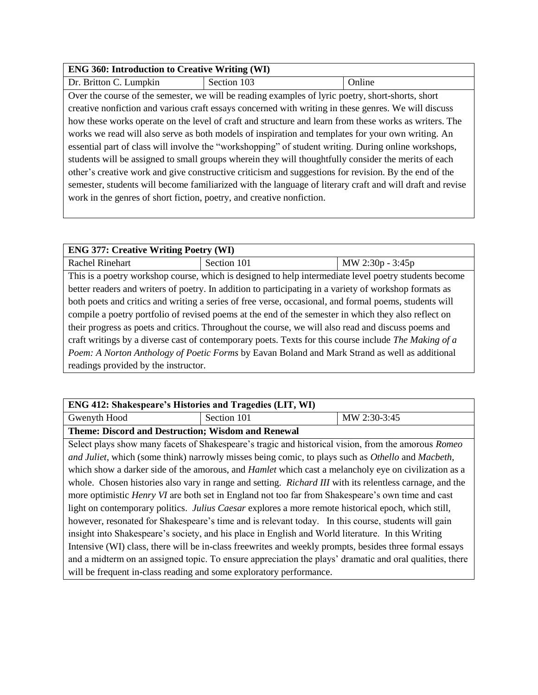#### **ENG 360: Introduction to Creative Writing (WI)**

Dr. Britton C. Lumpkin Section 103 | Online

Over the course of the semester, we will be reading examples of lyric poetry, short-shorts, short creative nonfiction and various craft essays concerned with writing in these genres. We will discuss how these works operate on the level of craft and structure and learn from these works as writers. The works we read will also serve as both models of inspiration and templates for your own writing. An essential part of class will involve the "workshopping" of student writing. During online workshops, students will be assigned to small groups wherein they will thoughtfully consider the merits of each other's creative work and give constructive criticism and suggestions for revision. By the end of the semester, students will become familiarized with the language of literary craft and will draft and revise work in the genres of short fiction, poetry, and creative nonfiction.

| <b>ENG 377: Creative Writing Poetry (WI)</b>                                                           |                                                                                                        |                  |
|--------------------------------------------------------------------------------------------------------|--------------------------------------------------------------------------------------------------------|------------------|
| Rachel Rinehart                                                                                        | Section 101                                                                                            | MW 2:30p - 3:45p |
|                                                                                                        | This is a poetry workshop course, which is designed to help intermediate level poetry students become  |                  |
|                                                                                                        | better readers and writers of poetry. In addition to participating in a variety of workshop formats as |                  |
| both poets and critics and writing a series of free verse, occasional, and formal poems, students will |                                                                                                        |                  |
| compile a poetry portfolio of revised poems at the end of the semester in which they also reflect on   |                                                                                                        |                  |
| their progress as poets and critics. Throughout the course, we will also read and discuss poems and    |                                                                                                        |                  |
| craft writings by a diverse cast of contemporary poets. Texts for this course include The Making of a  |                                                                                                        |                  |
| Poem: A Norton Anthology of Poetic Forms by Eavan Boland and Mark Strand as well as additional         |                                                                                                        |                  |
| readings provided by the instructor.                                                                   |                                                                                                        |                  |

| <b>ENG 412: Shakespeare's Histories and Tragedies (LIT, WI)</b>                                             |             |              |  |
|-------------------------------------------------------------------------------------------------------------|-------------|--------------|--|
| Gwenyth Hood                                                                                                | Section 101 | MW 2:30-3:45 |  |
| <b>Theme: Discord and Destruction; Wisdom and Renewal</b>                                                   |             |              |  |
| Select plays show many facets of Shakespeare's tragic and historical vision, from the amorous <i>Romeo</i>  |             |              |  |
| and Juliet, which (some think) narrowly misses being comic, to plays such as Othello and Macbeth,           |             |              |  |
| which show a darker side of the amorous, and <i>Hamlet</i> which cast a melancholy eye on civilization as a |             |              |  |
| whole Chosen histories also vary in range and setting Richard III with its relentless carnage and the       |             |              |  |

so vary in range and setting. *Richard III* with its relentless carnage, more optimistic *Henry VI* are both set in England not too far from Shakespeare's own time and cast light on contemporary politics. *Julius Caesar* explores a more remote historical epoch, which still, however, resonated for Shakespeare's time and is relevant today. In this course, students will gain insight into Shakespeare's society, and his place in English and World literature. In this Writing Intensive (WI) class, there will be in-class freewrites and weekly prompts, besides three formal essays and a midterm on an assigned topic. To ensure appreciation the plays' dramatic and oral qualities, there will be frequent in-class reading and some exploratory performance.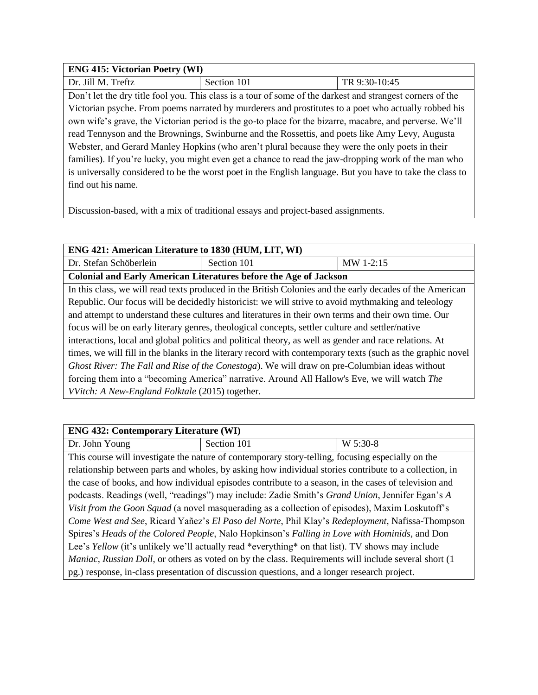| <b>ENG 415: Victorian Poetry (WI)</b>                                                                     |                                                                                                            |               |  |
|-----------------------------------------------------------------------------------------------------------|------------------------------------------------------------------------------------------------------------|---------------|--|
| Dr. Jill M. Treftz                                                                                        | Section 101                                                                                                | TR 9:30-10:45 |  |
|                                                                                                           | Don't let the dry title fool you. This class is a tour of some of the darkest and strangest corners of the |               |  |
| Victorian psyche. From poems narrated by murderers and prostitutes to a poet who actually robbed his      |                                                                                                            |               |  |
| own wife's grave, the Victorian period is the go-to place for the bizarre, macabre, and perverse. We'll   |                                                                                                            |               |  |
| read Tennyson and the Brownings, Swinburne and the Rossettis, and poets like Amy Levy, Augusta            |                                                                                                            |               |  |
| Webster, and Gerard Manley Hopkins (who aren't plural because they were the only poets in their           |                                                                                                            |               |  |
| families). If you're lucky, you might even get a chance to read the jaw-dropping work of the man who      |                                                                                                            |               |  |
| is universally considered to be the worst poet in the English language. But you have to take the class to |                                                                                                            |               |  |
| find out his name.                                                                                        |                                                                                                            |               |  |

Discussion-based, with a mix of traditional essays and project-based assignments.

| ENG 421: American Literature to 1830 (HUM, LIT, WI)                                                         |                                                                                                          |           |  |
|-------------------------------------------------------------------------------------------------------------|----------------------------------------------------------------------------------------------------------|-----------|--|
|                                                                                                             |                                                                                                          |           |  |
| Dr. Stefan Schöberlein                                                                                      | Section 101                                                                                              | MW 1-2:15 |  |
|                                                                                                             | <b>Colonial and Early American Literatures before the Age of Jackson</b>                                 |           |  |
|                                                                                                             | In this class, we will read texts produced in the British Colonies and the early decades of the American |           |  |
| Republic. Our focus will be decidedly historicist: we will strive to avoid mythmaking and teleology         |                                                                                                          |           |  |
| and attempt to understand these cultures and literatures in their own terms and their own time. Our         |                                                                                                          |           |  |
| focus will be on early literary genres, theological concepts, settler culture and settler/native            |                                                                                                          |           |  |
| interactions, local and global politics and political theory, as well as gender and race relations. At      |                                                                                                          |           |  |
| times, we will fill in the blanks in the literary record with contemporary texts (such as the graphic novel |                                                                                                          |           |  |
| Ghost River: The Fall and Rise of the Conestoga). We will draw on pre-Columbian ideas without               |                                                                                                          |           |  |
| forcing them into a "becoming America" narrative. Around All Hallow's Eve, we will watch The                |                                                                                                          |           |  |
| <i>VVitch: A New-England Folktale (2015)</i> together.                                                      |                                                                                                          |           |  |

| <b>ENG 432: Contemporary Literature (WI)</b>                                                            |                                                                                                              |          |  |
|---------------------------------------------------------------------------------------------------------|--------------------------------------------------------------------------------------------------------------|----------|--|
| Dr. John Young                                                                                          | Section 101                                                                                                  | W 5:30-8 |  |
|                                                                                                         | This course will investigate the nature of contemporary story-telling, focusing especially on the            |          |  |
|                                                                                                         | relationship between parts and wholes, by asking how individual stories contribute to a collection, in       |          |  |
|                                                                                                         | the case of books, and how individual episodes contribute to a season, in the cases of television and        |          |  |
| podcasts. Readings (well, "readings") may include: Zadie Smith's Grand Union, Jennifer Egan's A         |                                                                                                              |          |  |
| Visit from the Goon Squad (a novel masquerading as a collection of episodes), Maxim Loskutoff's         |                                                                                                              |          |  |
| Come West and See, Ricard Yañez's El Paso del Norte, Phil Klay's Redeployment, Nafissa-Thompson         |                                                                                                              |          |  |
| Spires's Heads of the Colored People, Nalo Hopkinson's Falling in Love with Hominids, and Don           |                                                                                                              |          |  |
| Lee's <i>Yellow</i> (it's unlikely we'll actually read *everything* on that list). TV shows may include |                                                                                                              |          |  |
|                                                                                                         | <i>Maniac, Russian Doll,</i> or others as voted on by the class. Requirements will include several short (1) |          |  |
|                                                                                                         | pg.) response, in-class presentation of discussion questions, and a longer research project.                 |          |  |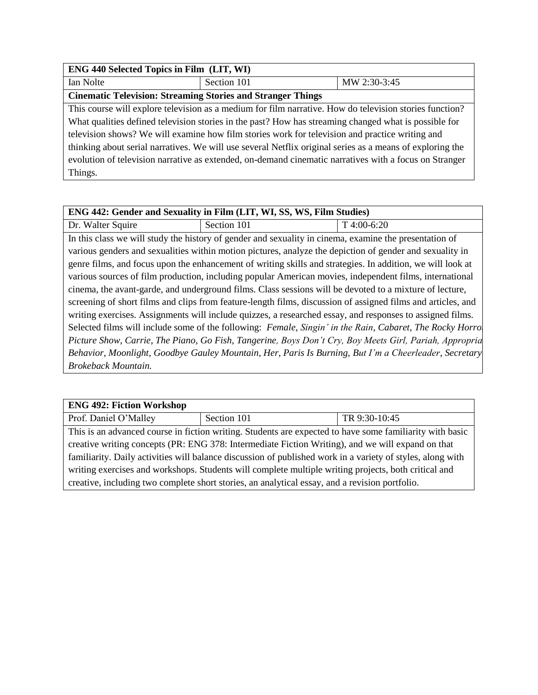| <b>ENG 440 Selected Topics in Film (LIT, WI)</b>                                                          |             |              |  |
|-----------------------------------------------------------------------------------------------------------|-------------|--------------|--|
| Ian Nolte                                                                                                 | Section 101 | MW 2:30-3:45 |  |
| <b>Cinematic Television: Streaming Stories and Stranger Things</b>                                        |             |              |  |
| This course will explore television as a medium for film narrative. How do television stories function?   |             |              |  |
| What qualities defined television stories in the past? How has streaming changed what is possible for     |             |              |  |
| television shows? We will examine how film stories work for television and practice writing and           |             |              |  |
| thinking about serial narratives. We will use several Netflix original series as a means of exploring the |             |              |  |
| evolution of television narrative as extended, on-demand cinematic narratives with a focus on Stranger    |             |              |  |
| Things.                                                                                                   |             |              |  |

| ENG 442: Gender and Sexuality in Film (LIT, WI, SS, WS, Film Studies)                                        |                                                                                                        |             |
|--------------------------------------------------------------------------------------------------------------|--------------------------------------------------------------------------------------------------------|-------------|
| Dr. Walter Squire                                                                                            | Section 101                                                                                            | T 4:00-6:20 |
|                                                                                                              | In this class we will study the history of gender and sexuality in cinema, examine the presentation of |             |
| various genders and sexualities within motion pictures, analyze the depiction of gender and sexuality in     |                                                                                                        |             |
| genre films, and focus upon the enhancement of writing skills and strategies. In addition, we will look at   |                                                                                                        |             |
| various sources of film production, including popular American movies, independent films, international      |                                                                                                        |             |
| cinema, the avant-garde, and underground films. Class sessions will be devoted to a mixture of lecture,      |                                                                                                        |             |
| screening of short films and clips from feature-length films, discussion of assigned films and articles, and |                                                                                                        |             |
| writing exercises. Assignments will include quizzes, a researched essay, and responses to assigned films.    |                                                                                                        |             |
| Selected films will include some of the following: Female, Singin' in the Rain, Cabaret, The Rocky Horro     |                                                                                                        |             |
| Picture Show, Carrie, The Piano, Go Fish, Tangerine, Boys Don't Cry, Boy Meets Girl, Pariah, Approprid       |                                                                                                        |             |
| Behavior, Moonlight, Goodbye Gauley Mountain, Her, Paris Is Burning, But I'm a Cheerleader, Secretary        |                                                                                                        |             |
| Brokeback Mountain.                                                                                          |                                                                                                        |             |

| <b>ENG 492: Fiction Workshop</b>                                                                           |             |               |  |
|------------------------------------------------------------------------------------------------------------|-------------|---------------|--|
| Prof. Daniel O'Malley                                                                                      | Section 101 | TR 9:30-10:45 |  |
| This is an advanced course in fiction writing. Students are expected to have some familiarity with basic   |             |               |  |
| creative writing concepts (PR: ENG 378: Intermediate Fiction Writing), and we will expand on that          |             |               |  |
| familiarity. Daily activities will balance discussion of published work in a variety of styles, along with |             |               |  |
| writing exercises and workshops. Students will complete multiple writing projects, both critical and       |             |               |  |
| creative, including two complete short stories, an analytical essay, and a revision portfolio.             |             |               |  |